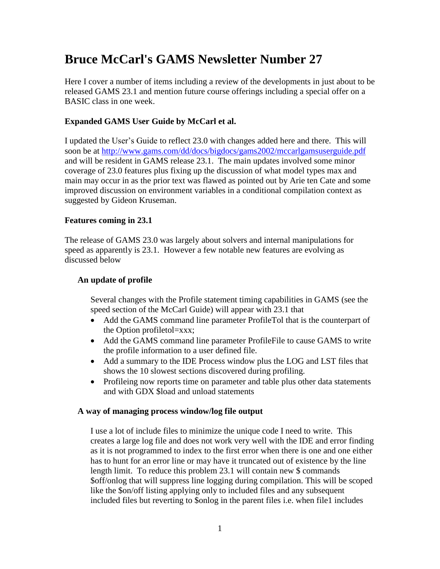# **Bruce McCarl's GAMS Newsletter Number 27**

Here I cover a number of items including a review of the developments in just about to be released GAMS 23.1 and mention future course offerings including a special offer on a BASIC class in one week.

#### **Expanded GAMS User Guide by McCarl et al.**

I updated the User's Guide to reflect 23.0 with changes added here and there. This will soon be at<http://www.gams.com/dd/docs/bigdocs/gams2002/mccarlgamsuserguide.pdf> and will be resident in GAMS release 23.1. The main updates involved some minor coverage of 23.0 features plus fixing up the discussion of what model types max and main may occur in as the prior text was flawed as pointed out by Arie ten Cate and some improved discussion on environment variables in a conditional compilation context as suggested by Gideon Kruseman.

#### **Features coming in 23.1**

The release of GAMS 23.0 was largely about solvers and internal manipulations for speed as apparently is 23.1. However a few notable new features are evolving as discussed below

#### **An update of profile**

Several changes with the Profile statement timing capabilities in GAMS (see the speed section of the McCarl Guide) will appear with 23.1 that

- Add the GAMS command line parameter ProfileTol that is the counterpart of the Option profiletol=xxx;
- Add the GAMS command line parameter ProfileFile to cause GAMS to write the profile information to a user defined file.
- Add a summary to the IDE Process window plus the LOG and LST files that shows the 10 slowest sections discovered during profiling.
- Profileing now reports time on parameter and table plus other data statements and with GDX \$load and unload statements

#### **A way of managing process window/log file output**

I use a lot of include files to minimize the unique code I need to write. This creates a large log file and does not work very well with the IDE and error finding as it is not programmed to index to the first error when there is one and one either has to hunt for an error line or may have it truncated out of existence by the line length limit. To reduce this problem 23.1 will contain new \$ commands \$off/onlog that will suppress line logging during compilation. This will be scoped like the \$on/off listing applying only to included files and any subsequent included files but reverting to \$onlog in the parent files i.e. when file1 includes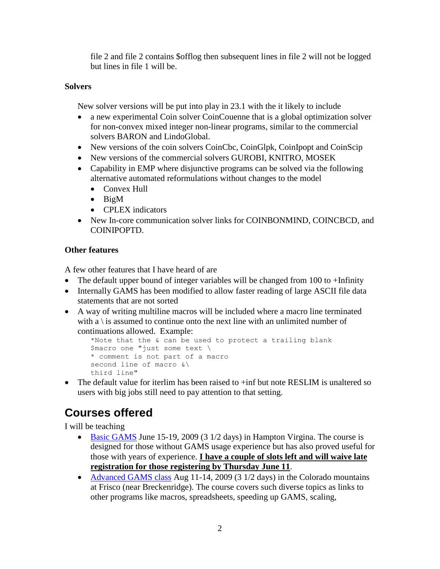file 2 and file 2 contains \$offlog then subsequent lines in file 2 will not be logged but lines in file 1 will be.

#### **Solvers**

New solver versions will be put into play in 23.1 with the it likely to include

- a new experimental Coin solver CoinCouenne that is a global optimization solver for non-convex mixed integer non-linear programs, similar to the commercial solvers BARON and LindoGlobal.
- New versions of the coin solvers CoinCbc, CoinGlpk, CoinIpopt and CoinScip
- New versions of the commercial solvers GUROBI, KNITRO, MOSEK
- Capability in EMP where disjunctive programs can be solved via the following alternative automated reformulations without changes to the model
	- Convex Hull
	- $\bullet$  BigM
	- CPLEX indicators
- New In-core communication solver links for COINBONMIND, COINCBCD, and COINIPOPTD.

### **Other features**

A few other features that I have heard of are

- The default upper bound of integer variables will be changed from 100 to +Infinity
- Internally GAMS has been modified to allow faster reading of large ASCII file data statements that are not sorted
- A way of writing multiline macros will be included where a macro line terminated with a  $\iota$  is assumed to continue onto the next line with an unlimited number of continuations allowed. Example:

```
*Note that the & can be used to protect a trailing blank
$macro one "just some text \
* comment is not part of a macro
second line of macro &\
third line"
```
• The default value for iterlim has been raised to  $+i$ nf but note RESLIM is unaltered so users with big jobs still need to pay attention to that setting.

# **Courses offered**

I will be teaching

- [Basic GAMS](http://www.gams.com/mccarl/basichampton.htm) June 15-19, 2009 (3 1/2 days) in Hampton Virgina. The course is designed for those without GAMS usage experience but has also proved useful for those with years of experience. **I have a couple of slots left and will waive late registration for those registering by Thursday June 11**.
- [Advanced GAMS class](http://www.gams.com/mccarl/advanced.htm) Aug 11-14, 2009 (3 1/2 days) in the Colorado mountains at Frisco (near Breckenridge). The course covers such diverse topics as links to other programs like macros, spreadsheets, speeding up GAMS, scaling,